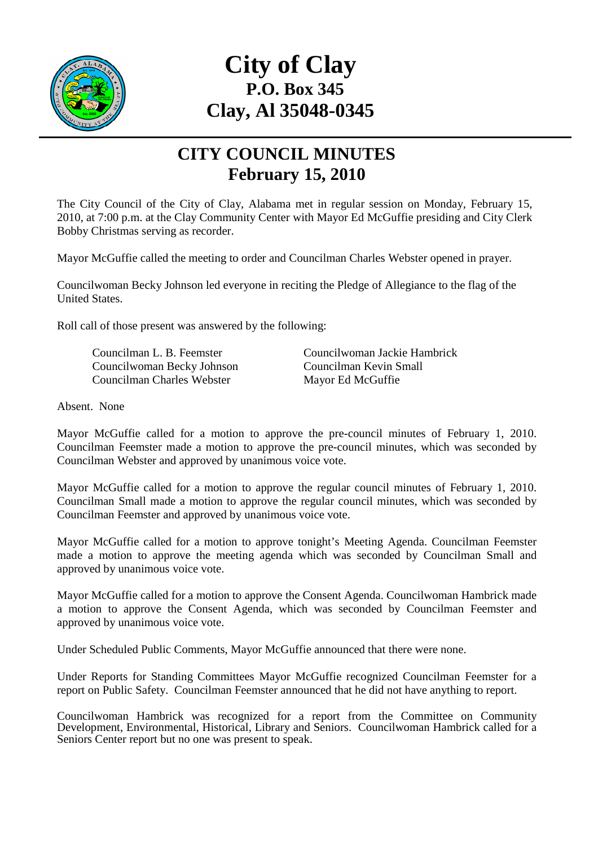

## **City of Clay P.O. Box 345 Clay, Al 35048-0345**

## **CITY COUNCIL MINUTES February 15, 2010**

The City Council of the City of Clay, Alabama met in regular session on Monday, February 15, 2010, at 7:00 p.m. at the Clay Community Center with Mayor Ed McGuffie presiding and City Clerk Bobby Christmas serving as recorder.

Mayor McGuffie called the meeting to order and Councilman Charles Webster opened in prayer.

Councilwoman Becky Johnson led everyone in reciting the Pledge of Allegiance to the flag of the United States.

Roll call of those present was answered by the following:

 Councilwoman Becky Johnson Councilman Kevin Small Councilman Charles Webster Mayor Ed McGuffie

Councilman L. B. Feemster Councilwoman Jackie Hambrick

Absent. None

Mayor McGuffie called for a motion to approve the pre-council minutes of February 1, 2010. Councilman Feemster made a motion to approve the pre-council minutes, which was seconded by Councilman Webster and approved by unanimous voice vote.

Mayor McGuffie called for a motion to approve the regular council minutes of February 1, 2010. Councilman Small made a motion to approve the regular council minutes, which was seconded by Councilman Feemster and approved by unanimous voice vote.

Mayor McGuffie called for a motion to approve tonight's Meeting Agenda. Councilman Feemster made a motion to approve the meeting agenda which was seconded by Councilman Small and approved by unanimous voice vote.

Mayor McGuffie called for a motion to approve the Consent Agenda. Councilwoman Hambrick made a motion to approve the Consent Agenda, which was seconded by Councilman Feemster and approved by unanimous voice vote.

Under Scheduled Public Comments, Mayor McGuffie announced that there were none.

Under Reports for Standing Committees Mayor McGuffie recognized Councilman Feemster for a report on Public Safety. Councilman Feemster announced that he did not have anything to report.

Councilwoman Hambrick was recognized for a report from the Committee on Community Development, Environmental, Historical, Library and Seniors. Councilwoman Hambrick called for a Seniors Center report but no one was present to speak.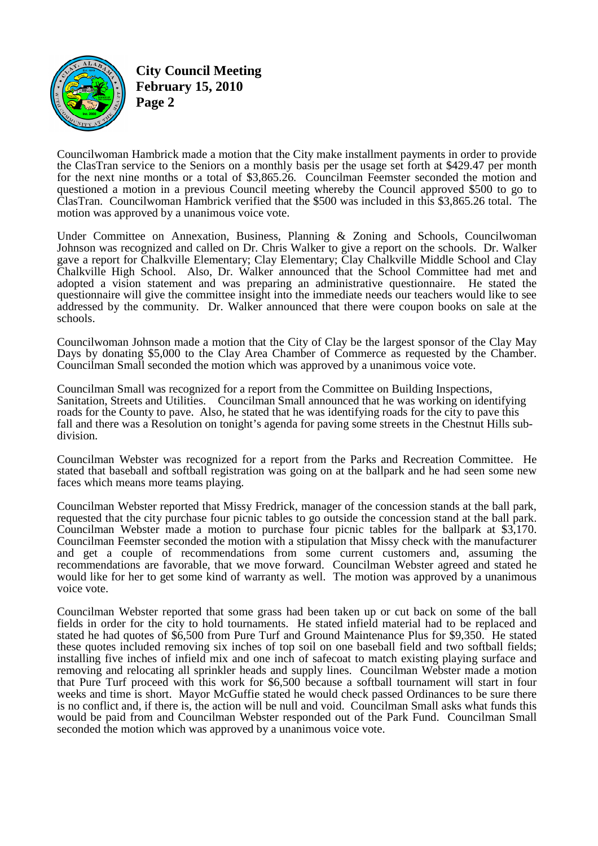

**City Council Meeting February 15, 2010 Page 2** 

Councilwoman Hambrick made a motion that the City make installment payments in order to provide the ClasTran service to the Seniors on a monthly basis per the usage set forth at \$429.47 per month for the next nine months or a total of \$3,865.26. Councilman Feemster seconded the motion and questioned a motion in a previous Council meeting whereby the Council approved \$500 to go to ClasTran. Councilwoman Hambrick verified that the \$500 was included in this \$3,865.26 total. The motion was approved by a unanimous voice vote.

Under Committee on Annexation, Business, Planning & Zoning and Schools, Councilwoman Johnson was recognized and called on Dr. Chris Walker to give a report on the schools. Dr. Walker gave a report for Chalkville Elementary; Clay Elementary; Clay Chalkville Middle School and Clay Chalkville High School. Also, Dr. Walker announced that the School Committee had met and adopted a vision statement and was preparing an administrative questionnaire. He stated the questionnaire will give the committee insight into the immediate needs our teachers would like to see addressed by the community. Dr. Walker announced that there were coupon books on sale at the schools.

Councilwoman Johnson made a motion that the City of Clay be the largest sponsor of the Clay May Days by donating \$5,000 to the Clay Area Chamber of Commerce as requested by the Chamber. Councilman Small seconded the motion which was approved by a unanimous voice vote.

Councilman Small was recognized for a report from the Committee on Building Inspections, Sanitation, Streets and Utilities. Councilman Small announced that he was working on identifying roads for the County to pave. Also, he stated that he was identifying roads for the city to pave this fall and there was a Resolution on tonight's agenda for paving some streets in the Chestnut Hills subdivision.

Councilman Webster was recognized for a report from the Parks and Recreation Committee. He stated that baseball and softball registration was going on at the ballpark and he had seen some new faces which means more teams playing.

Councilman Webster reported that Missy Fredrick, manager of the concession stands at the ball park, requested that the city purchase four picnic tables to go outside the concession stand at the ball park. Councilman Webster made a motion to purchase four picnic tables for the ballpark at \$3,170. Councilman Feemster seconded the motion with a stipulation that Missy check with the manufacturer and get a couple of recommendations from some current customers and, assuming the recommendations are favorable, that we move forward. Councilman Webster agreed and stated he would like for her to get some kind of warranty as well. The motion was approved by a unanimous voice vote.

Councilman Webster reported that some grass had been taken up or cut back on some of the ball fields in order for the city to hold tournaments. He stated infield material had to be replaced and stated he had quotes of \$6,500 from Pure Turf and Ground Maintenance Plus for \$9,350. He stated these quotes included removing six inches of top soil on one baseball field and two softball fields; installing five inches of infield mix and one inch of safecoat to match existing playing surface and removing and relocating all sprinkler heads and supply lines. Councilman Webster made a motion that Pure Turf proceed with this work for \$6,500 because a softball tournament will start in four weeks and time is short. Mayor McGuffie stated he would check passed Ordinances to be sure there is no conflict and, if there is, the action will be null and void. Councilman Small asks what funds this would be paid from and Councilman Webster responded out of the Park Fund. Councilman Small seconded the motion which was approved by a unanimous voice vote.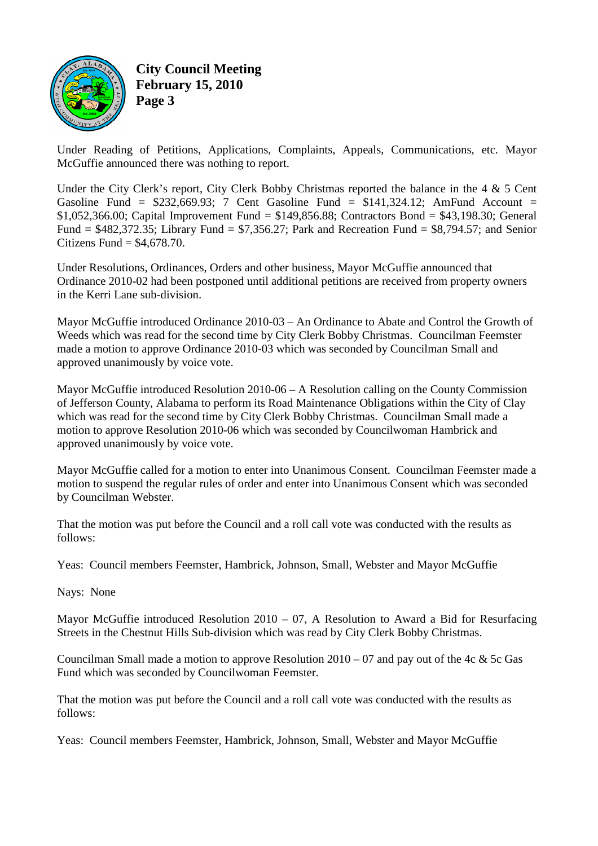

**City Council Meeting February 15, 2010 Page 3** 

Under Reading of Petitions, Applications, Complaints, Appeals, Communications, etc. Mayor McGuffie announced there was nothing to report.

Under the City Clerk's report, City Clerk Bobby Christmas reported the balance in the 4 & 5 Cent Gasoline Fund =  $$232,669.93$ ; 7 Cent Gasoline Fund =  $$141,324.12$ ; AmFund Account = \$1,052,366.00; Capital Improvement Fund = \$149,856.88; Contractors Bond = \$43,198.30; General Fund = \$482,372.35; Library Fund = \$7,356.27; Park and Recreation Fund = \$8,794.57; and Senior Citizens Fund  $=$  \$4,678.70.

Under Resolutions, Ordinances, Orders and other business, Mayor McGuffie announced that Ordinance 2010-02 had been postponed until additional petitions are received from property owners in the Kerri Lane sub-division.

Mayor McGuffie introduced Ordinance 2010-03 – An Ordinance to Abate and Control the Growth of Weeds which was read for the second time by City Clerk Bobby Christmas. Councilman Feemster made a motion to approve Ordinance 2010-03 which was seconded by Councilman Small and approved unanimously by voice vote.

Mayor McGuffie introduced Resolution 2010-06 – A Resolution calling on the County Commission of Jefferson County, Alabama to perform its Road Maintenance Obligations within the City of Clay which was read for the second time by City Clerk Bobby Christmas. Councilman Small made a motion to approve Resolution 2010-06 which was seconded by Councilwoman Hambrick and approved unanimously by voice vote.

Mayor McGuffie called for a motion to enter into Unanimous Consent. Councilman Feemster made a motion to suspend the regular rules of order and enter into Unanimous Consent which was seconded by Councilman Webster.

That the motion was put before the Council and a roll call vote was conducted with the results as follows:

Yeas: Council members Feemster, Hambrick, Johnson, Small, Webster and Mayor McGuffie

Nays: None

Mayor McGuffie introduced Resolution 2010 – 07, A Resolution to Award a Bid for Resurfacing Streets in the Chestnut Hills Sub-division which was read by City Clerk Bobby Christmas.

Councilman Small made a motion to approve Resolution  $2010 - 07$  and pay out of the 4c & 5c Gas Fund which was seconded by Councilwoman Feemster.

That the motion was put before the Council and a roll call vote was conducted with the results as follows:

Yeas: Council members Feemster, Hambrick, Johnson, Small, Webster and Mayor McGuffie